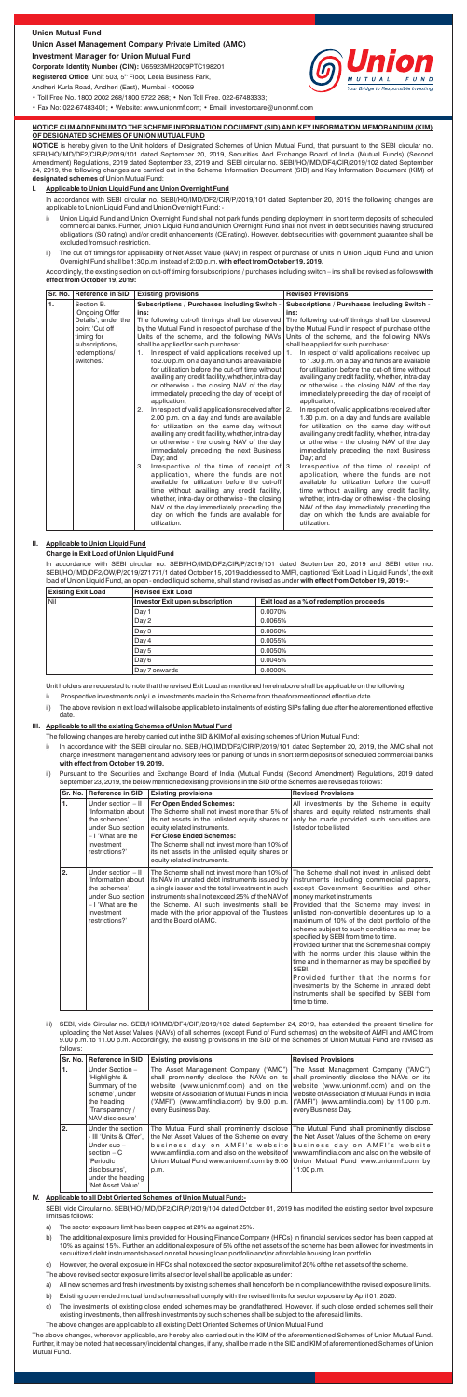- i) Union Liquid Fund and Union Overnight Fund shall not park funds pending deployment in short term deposits of scheduled commercial banks. Further, Union Liquid Fund and Union Overnight Fund shall not invest in debt securities having structured obligations (SO rating) and/or credit enhancements (CE rating). However, debt securities with government guarantee shall be excluded from such restriction.
- ii) The cut off timings for applicability of Net Asset Value (NAV) in respect of purchase of units in Union Liquid Fund and Union Overnight Fund shall be 1:30 p.m. instead of 2:00 p.m. **with effect from October 19, 2019.**

**NOTICE** is hereby given to the Unit holders of Designated Schemes of Union Mutual Fund, that pursuant to the SEBI circular no. SEBI/HO/IMD/DF2/CIR/P/2019/101 dated September 20, 2019, Securities And Exchange Board of India (Mutual Funds) (Second Amendment) Regulations, 2019 dated September 23, 2019 and SEBI circular no. SEBI/HO/IMD/DF4/CIR/2019/102 dated September 24, 2019, the following changes are carried out in the Scheme Information Document (SID) and Key Information Document (KIM) of **designated schemes** of Union Mutual Fund:

### Pursuant to the Securities and Exchange Board of India (Mutual Funds) (Second Amendment) Regulations, 2019 dated September 23, 2019, the below mentioned existing provisions in the SID of the Schemes are revised as follows:

Accordingly, the existing section on cut-off timing for subscriptions / purchases including switch – ins shall be revised as follows **with effect from October 19, 2019:**

In accordance with SEBI circular no. SEBI/HO/IMD/DF2/CIR/P/2019/101 dated September 20, 2019 the following changes are applicable to Union Liquid Fund and Union Overnight Fund: -

### **NOTICE CUM ADDENDUM TO THE SCHEME INFORMATION DOCUMENT (SID) AND KEY INFORMATION MEMORANDUM (KIM) OF DESIGNATED SCHEMES OF UNION MUTUAL FUND**

In accordance with the SEBI circular no. SEBI/HO/IMD/DF2/CIR/P/2019/101 dated September 20, 2019, the AMC shall not charge investment management and advisory fees for parking of funds in short term deposits of scheduled commercial banks **with effect from October 19, 2019.**

#### **I. Applicable to Union Liquid Fund and Union Overnight Fund**

The following changes are hereby carried out in the SID & KIM of all existing schemes of Union Mutual Fund:

- a) All new schemes and fresh investments by existing schemes shall henceforth be in compliance with the revised exposure limits.
- b) Existing open ended mutual fund schemes shall comply with the revised limits for sector exposure by April 01, 2020.
- c) The investments of existing close ended schemes may be grandfathered. However, if such close ended schemes sell their existing investments, then all fresh investments by such schemes shall be subject to the aforesaid limits.

In accordance with SEBI circular no. SEBI/HO/IMD/DF2/CIR/P/2019/101 dated September 20, 2019 and SEBI letter no. SEBI/HO/IMD/DF2/OW/P/2019/271771/1 dated October 15, 2019 addressed to AMFI, captioned 'Exit Load in Liquid Funds', the exit load of Union Liquid Fund, an open - ended liquid scheme, shall stand revised as under **with effect from October 19, 2019: -**

## **II. Applicable to Union Liquid Fund**

## **Change in Exit Load of Union Liquid Fund**

Unit holders are requested to note that the revised Exit Load as mentioned hereinabove shall be applicable on the following:

i) Prospective investments only i.e. investments made in the Scheme from the aforementioned effective date.

**Corporate Identity Number (CIN):** U65923MH2009PTC198201 Registered Office: Unit 503, 5<sup>th</sup> Floor, Leela Business Park,

ii) The above revision in exit load will also be applicable to instalments of existing SIPs falling due after the aforementioned effective date.

#### **III. Applicable to all the existing Schemes of Union Mutual Fund**

iii) SEBI, vide Circular no. SEBI/HO/IMD/DF4/CIR/2019/102 dated September 24, 2019, has extended the present timeline for uploading the Net Asset Values (NAVs) of all schemes (except Fund of Fund schemes) on the website of AMFI and AMC from 9.00 p.m. to 11.00 p.m. Accordingly, the existing provisions in the SID of the Schemes of Union Mutual Fund are revised as follows:

SEBI, vide Circular no. SEBI/HO/IMD/DF2/CIR/P/2019/104 dated October 01, 2019 has modified the existing sector level exposure limits as follows:

The above changes, wherever applicable, are hereby also carried out in the KIM of the aforementioned Schemes of Union Mutual Fund. Further, it may be noted that necessary/incidental changes, if any, shall be made in the SID and KIM of aforementioned Schemes of Union Mutual Fund.

The above changes are applicable to all existing Debt Oriented Schemes of Union Mutual Fund

#### **IV. Applicable to all Debt Oriented Schemes of Union Mutual Fund:-**

- a) The sector exposure limit has been capped at 20% as against 25%.
- b) The additional exposure limits provided for Housing Finance Company (HFCs) in financial services sector has been capped at 10% as against 15%. Further, an additional exposure of 5% of the net assets of the scheme has been allowed for investments in securitized debt instruments based on retail housing loan portfolio and/or affordable housing loan portfolio.
- c) However, the overall exposure in HFCs shall not exceed the sector exposure limit of 20% of the net assets of the scheme.

The above revised sector exposure limits at sector level shall be applicable as under:

# **Union Mutual Fund**

# **Union Asset Management Company Private Limited (AMC)**

**Investment Manager for Union Mutual Fund**

Andheri Kurla Road, Andheri (East), Mumbai - 400059

• Toll Free No. 1800 2002 268/1800 5722 268; • Non Toll Free. 022-67483333;

• Fax No: 022-67483401; • Website: www.unionmf.com; • Email: investorcare@unionmf.com

|                | Sr. No. Reference in SID                                                                                                            | <b>Existing provisions</b>                                                                                                                                                                                                                                                                                                                                                                                                                                                                                                                                                                                                                                                                                                                                                                                                                                                                                                                                                                                                                                                                                                                                                                                                                       | <b>Revised Provisions</b>                                                                                                                                                                                                                                                                                                                                                                                                                                                                                                                                                                                                                                                                                                                                                                                                                                                                                                                                                                                                                                                                                                                                                                                                |
|----------------|-------------------------------------------------------------------------------------------------------------------------------------|--------------------------------------------------------------------------------------------------------------------------------------------------------------------------------------------------------------------------------------------------------------------------------------------------------------------------------------------------------------------------------------------------------------------------------------------------------------------------------------------------------------------------------------------------------------------------------------------------------------------------------------------------------------------------------------------------------------------------------------------------------------------------------------------------------------------------------------------------------------------------------------------------------------------------------------------------------------------------------------------------------------------------------------------------------------------------------------------------------------------------------------------------------------------------------------------------------------------------------------------------|--------------------------------------------------------------------------------------------------------------------------------------------------------------------------------------------------------------------------------------------------------------------------------------------------------------------------------------------------------------------------------------------------------------------------------------------------------------------------------------------------------------------------------------------------------------------------------------------------------------------------------------------------------------------------------------------------------------------------------------------------------------------------------------------------------------------------------------------------------------------------------------------------------------------------------------------------------------------------------------------------------------------------------------------------------------------------------------------------------------------------------------------------------------------------------------------------------------------------|
| $\mathbf{1}$ . | Section B.<br>'Ongoing Offer<br>Details', under the<br>point 'Cut off<br>timing for<br>subscriptions/<br>redemptions/<br>switches.' | Subscriptions / Purchases including Switch -<br>ins:<br>The following cut-off timings shall be observed<br>by the Mutual Fund in respect of purchase of the<br>Units of the scheme, and the following NAVs<br>shall be applied for such purchase:<br>In respect of valid applications received up<br>1.<br>to 2.00 p.m. on a day and funds are available<br>for utilization before the cut-off time without<br>availing any credit facility, whether, intra-day<br>or otherwise - the closing NAV of the day<br>immediately preceding the day of receipt of<br>application;<br>In respect of valid applications received after   2.<br>2.<br>2.00 p.m. on a day and funds are available<br>for utilization on the same day without<br>availing any credit facility, whether, intra-day<br>or otherwise - the closing NAV of the day<br>immediately preceding the next Business<br>Day; and<br>Irrespective of the time of receipt of $ 3$ .<br>3.<br>application, where the funds are not<br>available for utilization before the cut-off<br>time without availing any credit facility,<br>whether, intra-day or otherwise - the closing<br>NAV of the day immediately preceding the<br>day on which the funds are available for<br>utilization. | Subscriptions / Purchases including Switch -<br>ins:<br>The following cut-off timings shall be observed<br>by the Mutual Fund in respect of purchase of the<br>Units of the scheme, and the following NAVs<br>shall be applied for such purchase:<br>In respect of valid applications received up<br>1.<br>to 1.30 p.m. on a day and funds are available<br>for utilization before the cut-off time without<br>availing any credit facility, whether, intra-day<br>or otherwise - the closing NAV of the day<br>immediately preceding the day of receipt of<br>application;<br>In respect of valid applications received after<br>1.30 p.m. on a day and funds are available<br>for utilization on the same day without<br>availing any credit facility, whether, intra-day<br>or otherwise - the closing NAV of the day<br>immediately preceding the next Business<br>Day; and<br>Irrespective of the time of receipt of<br>application, where the funds are not<br>available for utilization before the cut-off<br>time without availing any credit facility,<br>whether, intra-day or otherwise - the closing<br>NAV of the day immediately preceding the<br>day on which the funds are available for<br>utilization. |

| <b>Existing Exit Load</b> | <b>Revised Exit Load</b>               |                                         |  |
|---------------------------|----------------------------------------|-----------------------------------------|--|
| l Nil                     | <b>Investor Exit upon subscription</b> | Exit load as a % of redemption proceeds |  |
|                           | Day 1                                  | 0.0070%                                 |  |
|                           | Day 2                                  | 0.0065%                                 |  |
|                           | Day 3                                  | 0.0060%                                 |  |
|                           | Day 4                                  | 0.0055%                                 |  |
|                           | Day 5                                  | 0.0050%                                 |  |
|                           | Day 6                                  | 0.0045%                                 |  |
|                           | Day 7 onwards                          | 0.0000%                                 |  |

|    | Sr. No.   Reference in SID                                                                                                             | <b>Existing provisions</b>                                                                                                                                                                                                                                                                                                           | <b>Revised Provisions</b>                                                                                                                                                                                                                                                                                                                                                                                                                                                                                                                                                                                                                                                                                                                                |
|----|----------------------------------------------------------------------------------------------------------------------------------------|--------------------------------------------------------------------------------------------------------------------------------------------------------------------------------------------------------------------------------------------------------------------------------------------------------------------------------------|----------------------------------------------------------------------------------------------------------------------------------------------------------------------------------------------------------------------------------------------------------------------------------------------------------------------------------------------------------------------------------------------------------------------------------------------------------------------------------------------------------------------------------------------------------------------------------------------------------------------------------------------------------------------------------------------------------------------------------------------------------|
| 1. | Under section $-$ II<br>'Information about<br>the schemes'.<br>under Sub section<br>- I 'What are the<br>investment<br>restrictions?'  | <b>For Open Ended Schemes:</b><br>The Scheme shall not invest more than 5% of<br>its net assets in the unlisted equity shares or<br>equity related instruments.<br><b>For Close Ended Schemes:</b><br>The Scheme shall not invest more than 10% of<br>its net assets in the unlisted equity shares or<br>equity related instruments. | All investments by the Scheme in equity<br>shares and equity related instruments shall<br>only be made provided such securities are<br>listed or to be listed.                                                                                                                                                                                                                                                                                                                                                                                                                                                                                                                                                                                           |
| 2. | Under section $-$ II<br>'Information about<br>the schemes'.<br>under Sub section<br>$-1$ 'What are the<br>investment<br>restrictions?' | its NAV in unrated debt instruments issued by<br>a single issuer and the total investment in such<br>instruments shall not exceed 25% of the NAV of<br>the Scheme. All such investments shall be<br>made with the prior approval of the Trustees<br>and the Board of AMC.                                                            | The Scheme shall not invest more than 10% of The Scheme shall not invest in unlisted debt<br>instruments including commercial papers,<br>except Government Securities and other<br>money market instruments<br>Provided that the Scheme may invest in<br>unlisted non-convertible debentures up to a<br>maximum of 10% of the debt portfolio of the<br>scheme subject to such conditions as may be<br>specified by SEBI from time to time.<br>Provided further that the Scheme shall comply<br>with the norms under this clause within the<br>time and in the manner as may be specified by<br>SEBI.<br>Provided further that the norms for<br>investments by the Scheme in unrated debt<br>instruments shall be specified by SEBI from<br>time to time. |



| Sr. No. I | <b>Reference in SID</b>                                                                                                                               | <b>Existing provisions</b> | <b>Revised Provisions</b>                                                                                                                                                                                                                                                                                                                                                                                                                                           |
|-----------|-------------------------------------------------------------------------------------------------------------------------------------------------------|----------------------------|---------------------------------------------------------------------------------------------------------------------------------------------------------------------------------------------------------------------------------------------------------------------------------------------------------------------------------------------------------------------------------------------------------------------------------------------------------------------|
| 1.        | Under Section -<br>'Highlights &<br>Summary of the<br>scheme', under<br>the heading<br>'Transparency /<br>NAV disclosure'                             | every Business Day.        | The Asset Management Company ("AMC") The Asset Management Company ("AMC")<br>shall prominently disclose the NAVs on its shall prominently disclose the NAVs on its<br>website (www.unionmf.com) and on the website (www.unionmf.com) and on the<br>website of Association of Mutual Funds in India   website of Association of Mutual Funds in India<br>("AMFI") (www.amfiindia.com) by 9.00 p.m. ("AMFI") (www.amfiindia.com) by 11.00 p.m.<br>every Business Day. |
| 2.        | Under the section<br>- III 'Units & Offer'.<br>Under $sub -$<br>section $- C$<br>'Periodic<br>disclosures',<br>under the heading<br>'Net Asset Value' | p.m.                       | The Mutual Fund shall prominently disclose The Mutual Fund shall prominently disclose<br>the Net Asset Values of the Scheme on every   the Net Asset Values of the Scheme on every<br>business day on AMFI's website business day on AMFI's website<br>www.amfiindia.com and also on the website of   www.amfiindia.com and also on the website of<br>Union Mutual Fund www.unionmf.com by 9:00   Union Mutual Fund www.unionmf.com by<br>11:00 p.m.                |